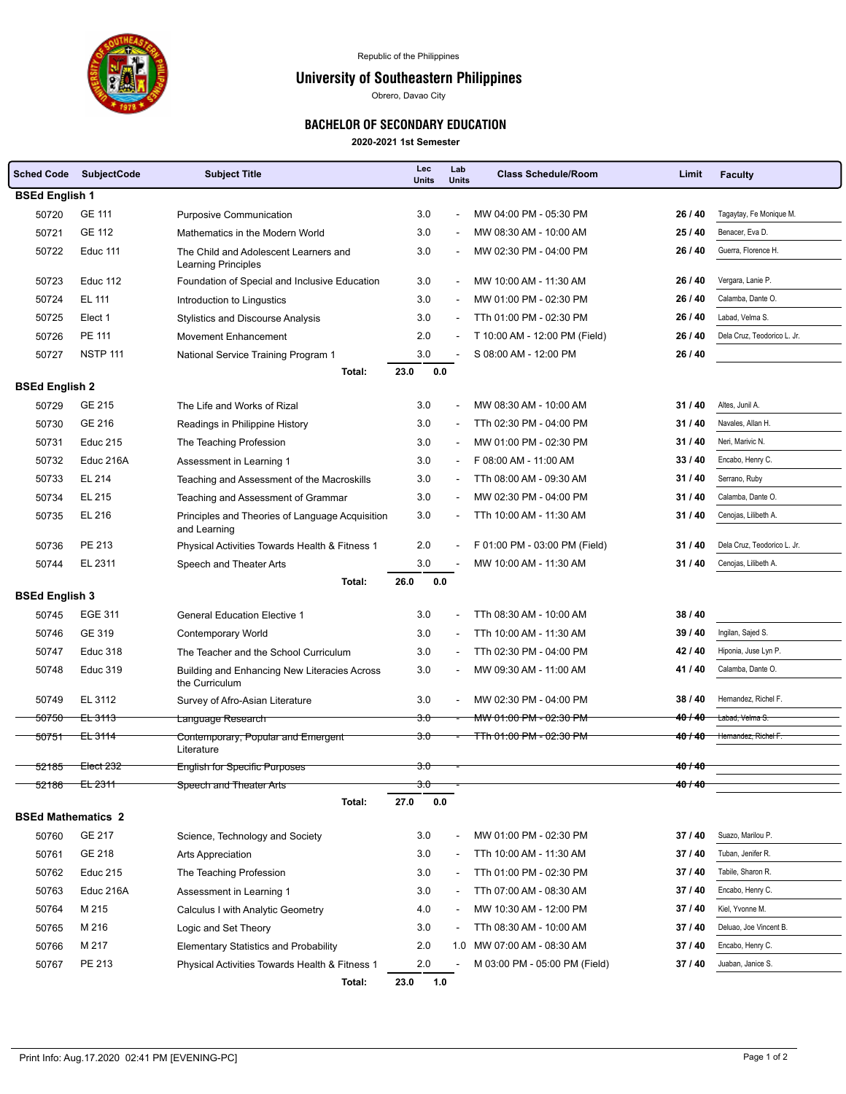

## University of Southeastern Philippines

Obrero, Davao City

## BACHELOR OF SECONDARY EDUCATION

**2020-2021 1st Semester**

| <b>Sched Code</b>         | <b>SubjectCode</b>   | <b>Subject Title</b>                                                 | Lec<br><b>Units</b> | Lab<br><b>Units</b>      | <b>Class Schedule/Room</b>         | Limit               | <b>Faculty</b>              |  |  |  |
|---------------------------|----------------------|----------------------------------------------------------------------|---------------------|--------------------------|------------------------------------|---------------------|-----------------------------|--|--|--|
| <b>BSEd English 1</b>     |                      |                                                                      |                     |                          |                                    |                     |                             |  |  |  |
| 50720                     | GE 111               | <b>Purposive Communication</b>                                       | 3.0                 | $\blacksquare$           | MW 04:00 PM - 05:30 PM             | 26 / 40             | Tagaytay, Fe Monique M.     |  |  |  |
| 50721                     | <b>GE 112</b>        | Mathematics in the Modern World                                      | 3.0                 |                          | MW 08:30 AM - 10:00 AM             | 25 / 40             | Benacer, Eva D.             |  |  |  |
| 50722                     | Educ 111             | The Child and Adolescent Learners and                                | 3.0                 |                          | MW 02:30 PM - 04:00 PM             | 26 / 40             | Guerra. Florence H.         |  |  |  |
| 50723                     | Educ 112             | Learning Principles<br>Foundation of Special and Inclusive Education | 3.0                 | $\overline{\phantom{a}}$ | MW 10:00 AM - 11:30 AM             | 26 / 40             | Vergara, Lanie P.           |  |  |  |
| 50724                     | EL 111               | Introduction to Lingustics                                           | 3.0                 |                          | MW 01:00 PM - 02:30 PM             | 26 / 40             | Calamba, Dante O.           |  |  |  |
| 50725                     | Elect 1              | <b>Stylistics and Discourse Analysis</b>                             | 3.0                 |                          | TTh 01:00 PM - 02:30 PM            | 26 / 40             | Labad, Velma S.             |  |  |  |
| 50726                     | PE 111               | Movement Enhancement                                                 | 2.0                 |                          | T 10:00 AM - 12:00 PM (Field)      | 26 / 40             | Dela Cruz, Teodorico L. Jr. |  |  |  |
| 50727                     | <b>NSTP 111</b>      | National Service Training Program 1                                  | 3.0                 |                          | S 08:00 AM - 12:00 PM              | 26/40               |                             |  |  |  |
|                           |                      | Total:                                                               | 23.0<br>0.0         |                          |                                    |                     |                             |  |  |  |
| <b>BSEd English 2</b>     |                      |                                                                      |                     |                          |                                    |                     |                             |  |  |  |
| 50729                     | <b>GE 215</b>        | The Life and Works of Rizal                                          | 3.0                 | $\blacksquare$           | MW 08:30 AM - 10:00 AM             | 31/40               | Altes, Junil A.             |  |  |  |
| 50730                     | GE 216               | Readings in Philippine History                                       | 3.0                 | $\blacksquare$           | TTh 02:30 PM - 04:00 PM            | 31/40               | Navales, Allan H.           |  |  |  |
| 50731                     | <b>Educ 215</b>      | The Teaching Profession                                              | 3.0                 | $\blacksquare$           | MW 01:00 PM - 02:30 PM             | 31/40               | Neri, Marivic N.            |  |  |  |
| 50732                     | Educ 216A            | Assessment in Learning 1                                             | 3.0                 | $\sim$                   | F 08:00 AM - 11:00 AM              | 33/40               | Encabo, Henry C.            |  |  |  |
| 50733                     | EL 214               | Teaching and Assessment of the Macroskills                           | 3.0                 |                          | TTh 08:00 AM - 09:30 AM            | 31/40               | Serrano, Ruby               |  |  |  |
| 50734                     | EL 215               | Teaching and Assessment of Grammar                                   | 3.0                 |                          | MW 02:30 PM - 04:00 PM             | 31/40               | Calamba, Dante O.           |  |  |  |
| 50735                     | EL 216               | Principles and Theories of Language Acquisition<br>and Learning      | 3.0                 |                          | TTh 10:00 AM - 11:30 AM            | 31/40               | Cenojas, Lilibeth A.        |  |  |  |
| 50736                     | PE 213               | Physical Activities Towards Health & Fitness 1                       | 2.0                 | $\overline{\phantom{a}}$ | F 01:00 PM - 03:00 PM (Field)      | 31/40               | Dela Cruz, Teodorico L. Jr. |  |  |  |
| 50744                     | EL 2311              | Speech and Theater Arts                                              | 3.0                 |                          | MW 10:00 AM - 11:30 AM             | 31/40               | Cenojas, Lilibeth A.        |  |  |  |
|                           |                      | Total:                                                               | 26.0<br>0.0         |                          |                                    |                     |                             |  |  |  |
| <b>BSEd English 3</b>     |                      |                                                                      |                     |                          |                                    |                     |                             |  |  |  |
| 50745                     | <b>EGE 311</b>       | <b>General Education Elective 1</b>                                  | 3.0                 |                          | TTh 08:30 AM - 10:00 AM            | 38/40               |                             |  |  |  |
| 50746                     | GE 319               | <b>Contemporary World</b>                                            | 3.0                 |                          | TTh 10:00 AM - 11:30 AM            | 39 / 40             | Ingilan, Sajed S.           |  |  |  |
| 50747                     | <b>Educ 318</b>      | The Teacher and the School Curriculum                                | 3.0                 |                          | TTh 02:30 PM - 04:00 PM            | 42 / 40             | Hiponia, Juse Lyn P.        |  |  |  |
| 50748                     | <b>Educ 319</b>      | Building and Enhancing New Literacies Across<br>the Curriculum       | 3.0                 | $\overline{\phantom{a}}$ | MW 09:30 AM - 11:00 AM             | 41/40               | Calamba, Dante O.           |  |  |  |
| 50749                     | EL 3112              | Survey of Afro-Asian Literature                                      | 3.0                 |                          | MW 02:30 PM - 04:00 PM             | 38/40               | Hernandez, Richel F.        |  |  |  |
| 50750                     | <del>EL 3113</del>   | Language Research                                                    | 3.0                 |                          | <del>MW 01:00 PM - 02:30 PM</del>  | 40/40               | Labad, Velma S.             |  |  |  |
| <del>50751</del>          | <del>EL 3114</del>   | Contemporary, Popular and Emergent                                   | <del>3.0</del>      |                          | <del>TTh 01:00 PM - 02:30 PM</del> | 40/40               | Hemandez, Richel F.         |  |  |  |
|                           |                      | Literature                                                           |                     |                          |                                    | 40/40               |                             |  |  |  |
|                           | 52185 Elect 232      | <b>English for Specific Purposes</b>                                 | 3.0                 |                          |                                    |                     |                             |  |  |  |
| <del>52186 -</del>        | <del>EL 2311 -</del> | Speech and Theater Arts                                              | 3.0                 |                          |                                    | 4 <del>0 / 40</del> |                             |  |  |  |
| <b>BSEd Mathematics 2</b> |                      | Total:                                                               | 27.0<br>0.0         |                          |                                    |                     |                             |  |  |  |
| 50760                     | GE 217               | Science, Technology and Society                                      | 3.0                 |                          | MW 01:00 PM - 02:30 PM             | 37/40               | Suazo, Marilou P.           |  |  |  |
| 50761                     | GE 218               | Arts Appreciation                                                    | 3.0                 |                          | TTh 10:00 AM - 11:30 AM            | 37/40               | Tuban, Jenifer R.           |  |  |  |
| 50762                     | <b>Educ 215</b>      | The Teaching Profession                                              | 3.0                 |                          | TTh 01:00 PM - 02:30 PM            | 37/40               | Tabile, Sharon R.           |  |  |  |
| 50763                     | Educ 216A            | Assessment in Learning 1                                             | 3.0                 |                          | TTh 07:00 AM - 08:30 AM            | 37/40               | Encabo, Henry C.            |  |  |  |
| 50764                     | M 215                | Calculus I with Analytic Geometry                                    | 4.0                 |                          | MW 10:30 AM - 12:00 PM             | 37/40               | Kiel, Yvonne M.             |  |  |  |
| 50765                     | M 216                | Logic and Set Theory                                                 | 3.0                 | $\overline{\phantom{a}}$ | TTh 08:30 AM - 10:00 AM            | 37/40               | Deluao, Joe Vincent B.      |  |  |  |
| 50766                     | M 217                | <b>Elementary Statistics and Probability</b>                         | 2.0                 | 1.0                      | MW 07:00 AM - 08:30 AM             | 37 / 40             | Encabo, Henry C.            |  |  |  |
| 50767                     | PE 213               | Physical Activities Towards Health & Fitness 1                       | 2.0                 |                          | M 03:00 PM - 05:00 PM (Field)      | 37/40               | Juaban, Janice S.           |  |  |  |
|                           |                      | Total:                                                               | 1.0<br>23.0         |                          |                                    |                     |                             |  |  |  |